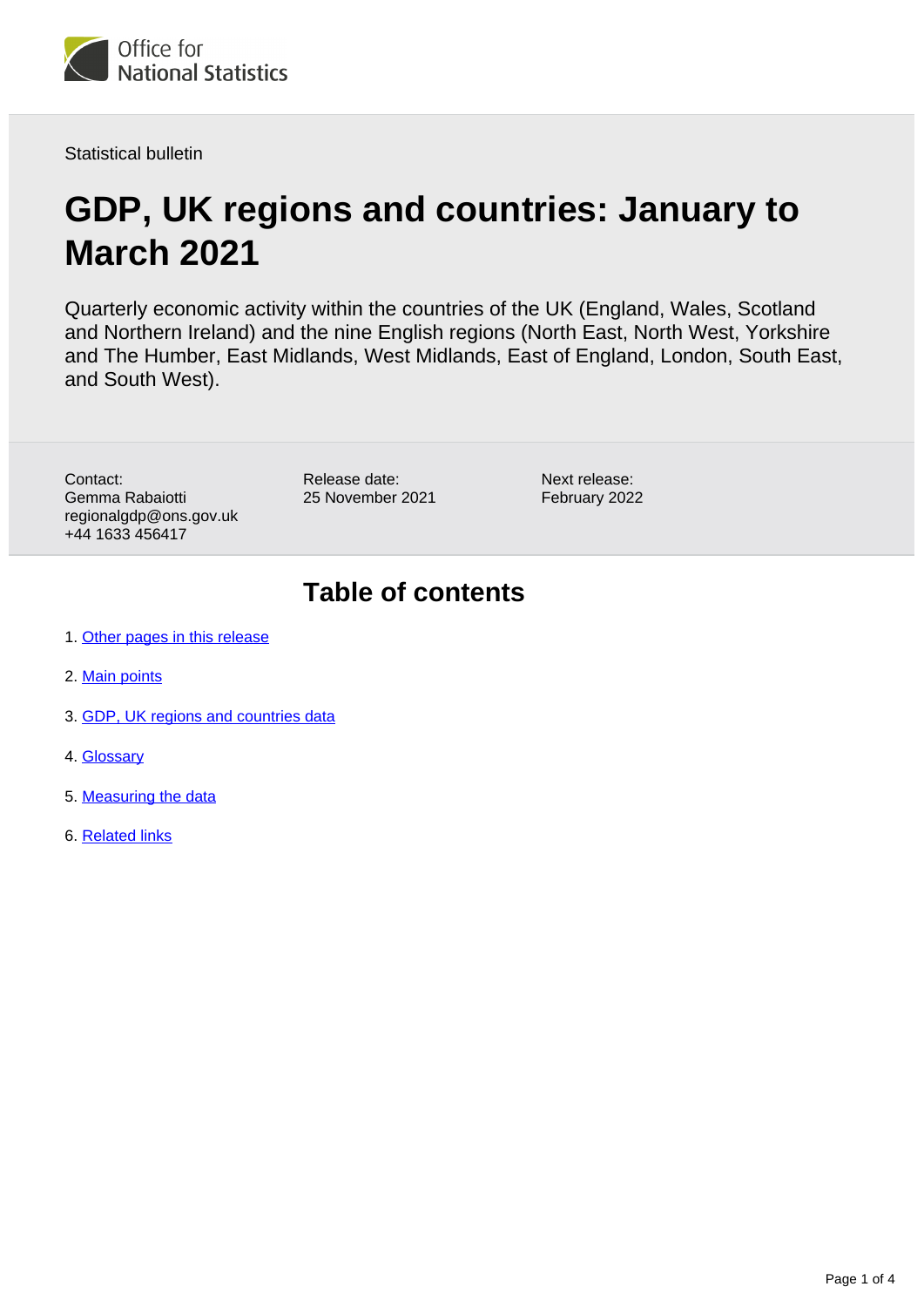

Statistical bulletin

# **GDP, UK regions and countries: January to March 2021**

Quarterly economic activity within the countries of the UK (England, Wales, Scotland and Northern Ireland) and the nine English regions (North East, North West, Yorkshire and The Humber, East Midlands, West Midlands, East of England, London, South East, and South West).

Contact: Gemma Rabaiotti regionalgdp@ons.gov.uk +44 1633 456417

Release date: 25 November 2021

Next release: February 2022

## **Table of contents**

- 1. [Other pages in this release](#page-1-0)
- 2. [Main points](#page-1-1)
- 3. [GDP, UK regions and countries data](#page-1-2)
- 4. [Glossary](#page-1-3)
- 5. [Measuring the data](#page-2-0)
- 6. [Related links](#page-3-0)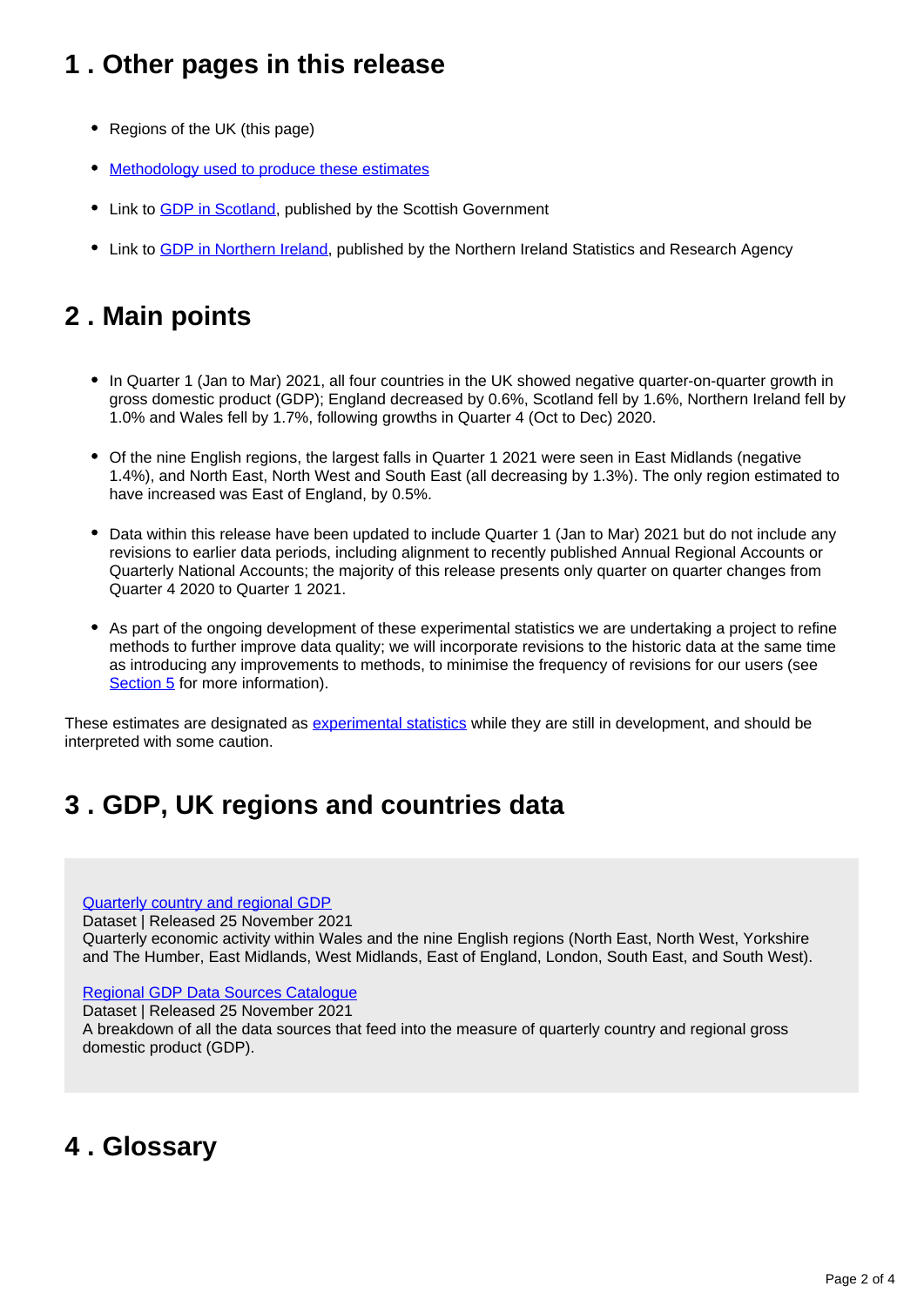## <span id="page-1-0"></span>**1 . Other pages in this release**

- Regions of the UK (this page)
- [Methodology used to produce these estimates](http://www.ons.gov.uk/economy/grossdomesticproductgdp/methodologies/introducinggdpforthecountriesoftheukandtheregionsofengland)
- Link to [GDP in Scotland,](https://www.gov.scot/publications/gdp-quarterly-national-accounts-2021-q2/) published by the Scottish Government
- Link to [GDP in Northern Ireland](https://www.nisra.gov.uk/statistics/economic-output-statistics/ni-composite-economic-index), published by the Northern Ireland Statistics and Research Agency

## <span id="page-1-1"></span>**2 . Main points**

- In Quarter 1 (Jan to Mar) 2021, all four countries in the UK showed negative quarter-on-quarter growth in gross domestic product (GDP); England decreased by 0.6%, Scotland fell by 1.6%, Northern Ireland fell by 1.0% and Wales fell by 1.7%, following growths in Quarter 4 (Oct to Dec) 2020.
- Of the nine English regions, the largest falls in Quarter 1 2021 were seen in East Midlands (negative 1.4%), and North East, North West and South East (all decreasing by 1.3%). The only region estimated to have increased was East of England, by 0.5%.
- Data within this release have been updated to include Quarter 1 (Jan to Mar) 2021 but do not include any revisions to earlier data periods, including alignment to recently published Annual Regional Accounts or Quarterly National Accounts; the majority of this release presents only quarter on quarter changes from Quarter 4 2020 to Quarter 1 2021.
- As part of the ongoing development of these experimental statistics we are undertaking a project to refine methods to further improve data quality; we will incorporate revisions to the historic data at the same time as introducing any improvements to methods, to minimise the frequency of revisions for our users (see [Section 5](https://www.ons.gov.uk/economy/grossdomesticproductgdp/bulletins/gdpukregionsandcountries/januarytomarch2021#measuring-the-data) for more information).

These estimates are designated as [experimental statistics](https://www.ons.gov.uk/methodology/methodologytopicsandstatisticalconcepts/guidetoexperimentalstatistics) while they are still in development, and should be interpreted with some caution.

## <span id="page-1-2"></span>**3 . GDP, UK regions and countries data**

[Quarterly country and regional GDP](https://www.ons.gov.uk/economy/grossdomesticproductgdp/datasets/quarterlycountryandregionalgdp)

Dataset | Released 25 November 2021 Quarterly economic activity within Wales and the nine English regions (North East, North West, Yorkshire and The Humber, East Midlands, West Midlands, East of England, London, South East, and South West).

### [Regional GDP Data Sources Catalogue](https://www.ons.gov.uk/economy/grossdomesticproductgdp/datasets/quarterlycountryandregionalgdpdatasourcecatalogue)

Dataset | Released 25 November 2021

A breakdown of all the data sources that feed into the measure of quarterly country and regional gross domestic product (GDP).

### <span id="page-1-3"></span>**4 . Glossary**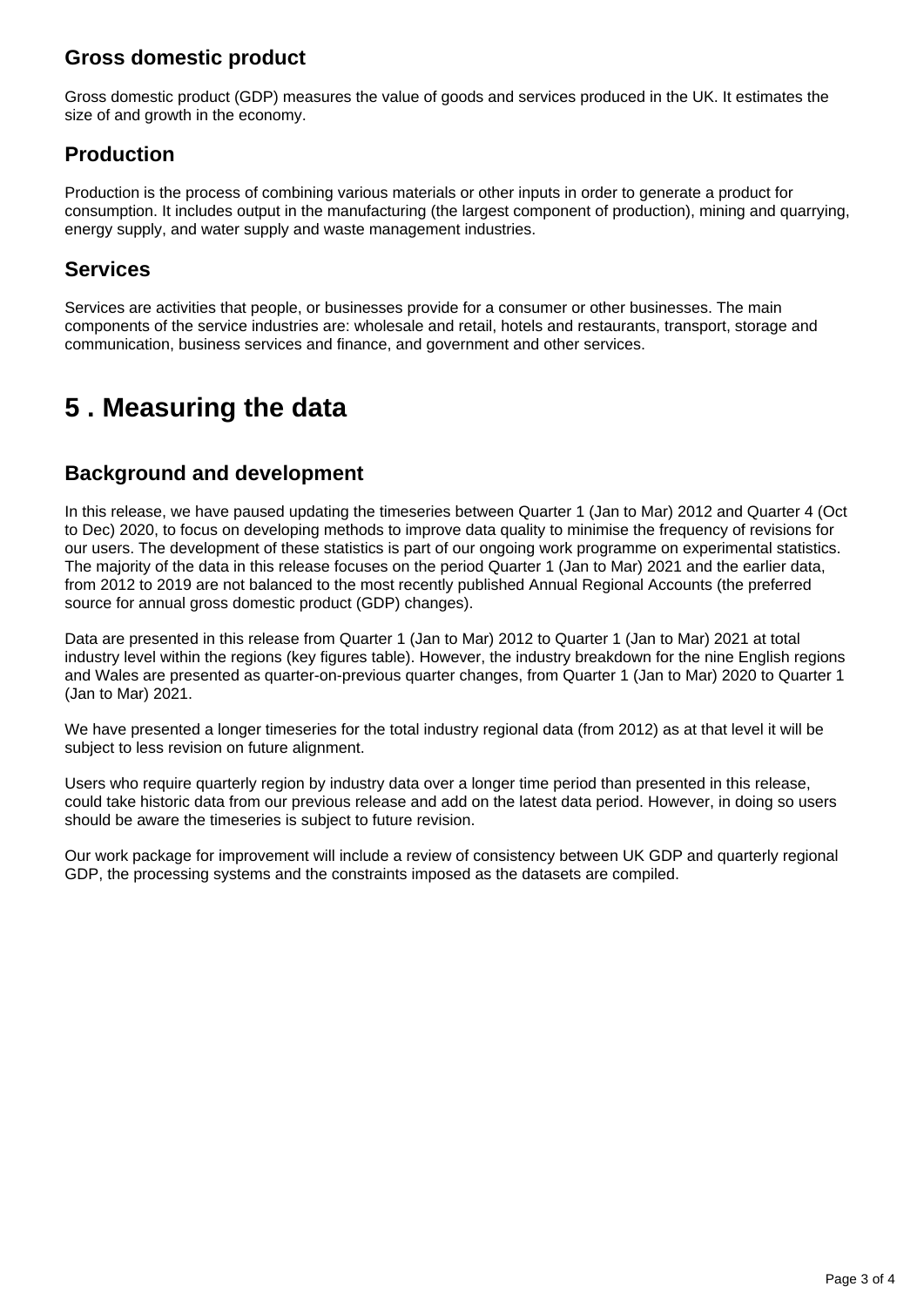### **Gross domestic product**

Gross domestic product (GDP) measures the value of goods and services produced in the UK. It estimates the size of and growth in the economy.

### **Production**

Production is the process of combining various materials or other inputs in order to generate a product for consumption. It includes output in the manufacturing (the largest component of production), mining and quarrying, energy supply, and water supply and waste management industries.

### **Services**

Services are activities that people, or businesses provide for a consumer or other businesses. The main components of the service industries are: wholesale and retail, hotels and restaurants, transport, storage and communication, business services and finance, and government and other services.

## <span id="page-2-0"></span>**5 . Measuring the data**

### **Background and development**

In this release, we have paused updating the timeseries between Quarter 1 (Jan to Mar) 2012 and Quarter 4 (Oct to Dec) 2020, to focus on developing methods to improve data quality to minimise the frequency of revisions for our users. The development of these statistics is part of our ongoing work programme on experimental statistics. The majority of the data in this release focuses on the period Quarter 1 (Jan to Mar) 2021 and the earlier data, from 2012 to 2019 are not balanced to the most recently published Annual Regional Accounts (the preferred source for annual gross domestic product (GDP) changes).

Data are presented in this release from Quarter 1 (Jan to Mar) 2012 to Quarter 1 (Jan to Mar) 2021 at total industry level within the regions (key figures table). However, the industry breakdown for the nine English regions and Wales are presented as quarter-on-previous quarter changes, from Quarter 1 (Jan to Mar) 2020 to Quarter 1 (Jan to Mar) 2021.

We have presented a longer timeseries for the total industry regional data (from 2012) as at that level it will be subject to less revision on future alignment.

Users who require quarterly region by industry data over a longer time period than presented in this release, could take historic data from our previous release and add on the latest data period. However, in doing so users should be aware the timeseries is subject to future revision.

Our work package for improvement will include a review of consistency between UK GDP and quarterly regional GDP, the processing systems and the constraints imposed as the datasets are compiled.